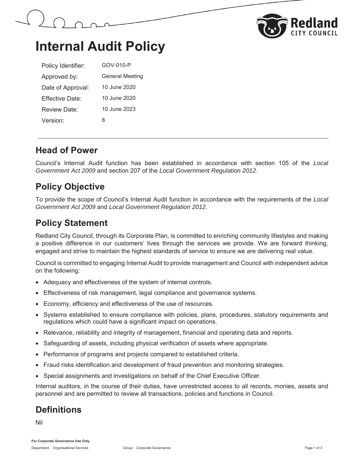



## **Internal Audit Policy**

| Policy Identifier:   | GOV-010-P              |
|----------------------|------------------------|
| Approved by:         | <b>General Meeting</b> |
| Date of Approval:    | 10 June 2020           |
| Fffective Date:      | 10 June 2020           |
| Review Date:         | 10 June 2023           |
| Version <sup>.</sup> | 8                      |

#### **Head of Power**

Council's Internal Audit function has been established in accordance with section 105 of the *Local Government Act 2009* and section 207 of the *Local Government Regulation 2012*.

### **Policy Objective**

To provide the scope of Council's Internal Audit function in accordance with the requirements of the *Local Government Act 2009* and *Local Government Regulation 2012*.

### **Policy Statement**

Redland City Council, through its Corporate Plan, is committed to enriching community lifestyles and making a positive difference in our customers' lives through the services we provide. We are forward thinking, engaged and strive to maintain the highest standards of service to ensure we are delivering real value.

Council is committed to engaging Internal Audit to provide management and Council with independent advice on the following:

- Adequacy and effectiveness of the system of internal controls.
- Effectiveness of risk management, legal compliance and governance systems.
- Economy, efficiency and effectiveness of the use of resources.
- Systems established to ensure compliance with policies, plans, procedures, statutory requirements and regulations which could have a significant impact on operations.
- Relevance, reliability and integrity of management, financial and operating data and reports.
- Safeguarding of assets, including physical verification of assets where appropriate.
- Performance of programs and projects compared to established criteria.
- Fraud risks identification and development of fraud prevention and monitoring strategies.
- Special assignments and investigations on behalf of the Chief Executive Officer.

Internal auditors, in the course of their duties, have unrestricted access to all records, monies, assets and personnel and are permitted to review all transactions, policies and functions in Council.

## **Definitions**

Nil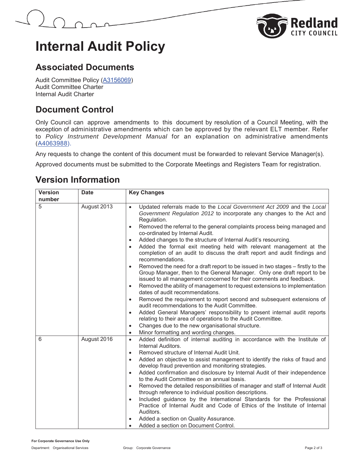

# **Internal Audit Policy**

#### **Associated Documents**

Audit Committee Policy (A3156069) Audit Committee Charter Internal Audit Charter

### **Document Control**

Only Council can approve amendments to this document by resolution of a Council Meeting, with the exception of administrative amendments which can be approved by the relevant ELT member. Refer to *Policy Instrument Development Manual* for an explanation on administrative amendments (A4063988).

Any requests to change the content of this document must be forwarded to relevant Service Manager(s).

Approved documents must be submitted to the Corporate Meetings and Registers Team for registration.

#### **Version Information**

| <b>Version</b> | <b>Date</b> | <b>Key Changes</b>                                                                                                                                                                                                                                                                                                                                                                                                                                                                                                                                                                                                                                                                                                                                                                                                                                                                                                                                                                                                                                                                                                                                                                                                                                                                                  |
|----------------|-------------|-----------------------------------------------------------------------------------------------------------------------------------------------------------------------------------------------------------------------------------------------------------------------------------------------------------------------------------------------------------------------------------------------------------------------------------------------------------------------------------------------------------------------------------------------------------------------------------------------------------------------------------------------------------------------------------------------------------------------------------------------------------------------------------------------------------------------------------------------------------------------------------------------------------------------------------------------------------------------------------------------------------------------------------------------------------------------------------------------------------------------------------------------------------------------------------------------------------------------------------------------------------------------------------------------------|
| number         |             |                                                                                                                                                                                                                                                                                                                                                                                                                                                                                                                                                                                                                                                                                                                                                                                                                                                                                                                                                                                                                                                                                                                                                                                                                                                                                                     |
| 5              | August 2013 | Updated referrals made to the Local Government Act 2009 and the Local<br>Government Regulation 2012 to incorporate any changes to the Act and<br>Regulation.<br>Removed the referral to the general complaints process being managed and<br>$\bullet$<br>co-ordinated by Internal Audit.<br>Added changes to the structure of Internal Audit's resourcing.<br>$\bullet$<br>Added the formal exit meeting held with relevant management at the<br>٠<br>completion of an audit to discuss the draft report and audit findings and<br>recommendations.<br>Removed the need for a draft report to be issued in two stages - firstly to the<br>$\bullet$<br>Group Manager, then to the General Manager. Only one draft report to be<br>issued to all management concerned for their comments and feedback.<br>Removed the ability of management to request extensions to implementation<br>$\bullet$<br>dates of audit recommendations.<br>Removed the requirement to report second and subsequent extensions of<br>$\bullet$<br>audit recommendations to the Audit Committee.<br>Added General Managers' responsibility to present internal audit reports<br>$\bullet$<br>relating to their area of operations to the Audit Committee.<br>Changes due to the new organisational structure.<br>$\bullet$ |
|                |             | Minor formatting and wording changes.<br>$\bullet$                                                                                                                                                                                                                                                                                                                                                                                                                                                                                                                                                                                                                                                                                                                                                                                                                                                                                                                                                                                                                                                                                                                                                                                                                                                  |
| 6              | August 2016 | Added definition of internal auditing in accordance with the Institute of<br>$\bullet$<br>Internal Auditors.<br>Removed structure of Internal Audit Unit.<br>$\bullet$<br>Added an objective to assist management to identify the risks of fraud and<br>$\bullet$<br>develop fraud prevention and monitoring strategies.<br>Added confirmation and disclosure by Internal Audit of their independence<br>$\bullet$<br>to the Audit Committee on an annual basis.<br>Removed the detailed responsibilities of manager and staff of Internal Audit<br>$\bullet$<br>through reference to individual position descriptions.<br>Included guidance by the International Standards for the Professional<br>$\bullet$<br>Practice of Internal Audit and Code of Ethics of the Institute of Internal<br>Auditors.<br>Added a section on Quality Assurance.<br>Added a section on Document Control.<br>$\bullet$                                                                                                                                                                                                                                                                                                                                                                                              |